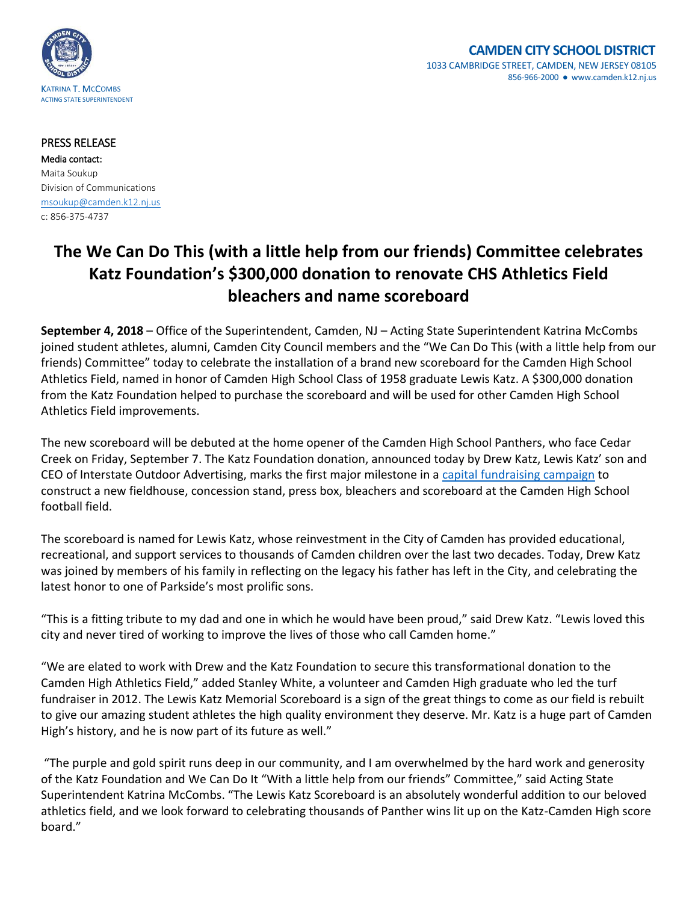

## **CAMDEN CITY SCHOOL DISTRICT** 1033 CAMBRIDGE STREET, CAMDEN, NEW JERSEY 08105 856-966-2000 ● www.camden.k12.nj.us

## PRESS RELEASE

Media contact: Maita Soukup Division of Communications [msoukup@camden.k12.nj.us](mailto:msoukup@camden.k12.nj.us) c: 856-375-4737

## **The We Can Do This (with a little help from our friends) Committee celebrates Katz Foundation's \$300,000 donation to renovate CHS Athletics Field bleachers and name scoreboard**

**September 4, 2018** – Office of the Superintendent, Camden, NJ – Acting State Superintendent Katrina McCombs joined student athletes, alumni, Camden City Council members and the "We Can Do This (with a little help from our friends) Committee" today to celebrate the installation of a brand new scoreboard for the Camden High School Athletics Field, named in honor of Camden High School Class of 1958 graduate Lewis Katz. A \$300,000 donation from the Katz Foundation helped to purchase the scoreboard and will be used for other Camden High School Athletics Field improvements.

The new scoreboard will be debuted at the home opener of the Camden High School Panthers, who face Cedar Creek on Friday, September 7. The Katz Foundation donation, announced today by Drew Katz, Lewis Katz' son and CEO of Interstate Outdoor Advertising, marks the first major milestone in a [capital fundraising campaign](http://www.camden.k12.nj.us/UserFiles/Servers/Server_340793/File/CHS_FieldFundraiser_Press%20Release.pdf) to construct a new fieldhouse, concession stand, press box, bleachers and scoreboard at the Camden High School football field.

The scoreboard is named for Lewis Katz, whose reinvestment in the City of Camden has provided educational, recreational, and support services to thousands of Camden children over the last two decades. Today, Drew Katz was joined by members of his family in reflecting on the legacy his father has left in the City, and celebrating the latest honor to one of Parkside's most prolific sons.

"This is a fitting tribute to my dad and one in which he would have been proud," said Drew Katz. "Lewis loved this city and never tired of working to improve the lives of those who call Camden home."

"We are elated to work with Drew and the Katz Foundation to secure this transformational donation to the Camden High Athletics Field," added Stanley White, a volunteer and Camden High graduate who led the turf fundraiser in 2012. The Lewis Katz Memorial Scoreboard is a sign of the great things to come as our field is rebuilt to give our amazing student athletes the high quality environment they deserve. Mr. Katz is a huge part of Camden High's history, and he is now part of its future as well."

"The purple and gold spirit runs deep in our community, and I am overwhelmed by the hard work and generosity of the Katz Foundation and We Can Do It "With a little help from our friends" Committee," said Acting State Superintendent Katrina McCombs. "The Lewis Katz Scoreboard is an absolutely wonderful addition to our beloved athletics field, and we look forward to celebrating thousands of Panther wins lit up on the Katz-Camden High score board."